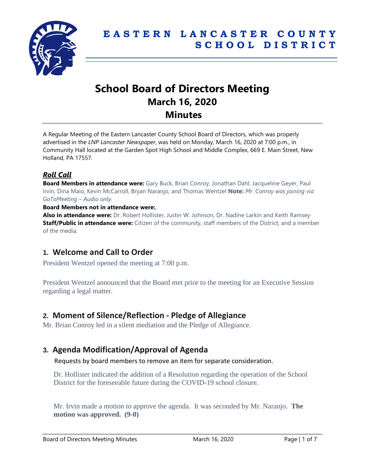

# **School Board of Directors Meeting March 16, 2020 Minutes**

A Regular Meeting of the Eastern Lancaster County School Board of Directors, which was properly advertised in the *LNP Lancaster Newspaper*, was held on Monday, March 16, 2020 at 7:00 p.m., in Community Hall located at the Garden Spot High School and Middle Complex, 669 E. Main Street, New Holland, PA 17557.

## *Roll Call*

**Board Members in attendance were:** Gary Buck, Brian Conroy, Jonathan Dahl, Jacqueline Geyer, Paul Irvin, Dina Maio, Kevin McCarroll, Bryan Naranjo, and Thomas Wentzel **Note:** *Mr. Conroy was joining via GoToMeeting – Audio only.*

#### **Board Members not in attendance were:**,

**Also in attendance were:** Dr. Robert Hollister, Justin W. Johnson, Dr. Nadine Larkin and Keith Ramsey **Staff/Public in attendance were:** Citizen of the community, staff members of the District, and a member of the media.

## **1. Welcome and Call to Order**

President Wentzel opened the meeting at 7:00 p.m.

President Wentzel announced that the Board met prior to the meeting for an Executive Session regarding a legal matter.

## **2. Moment of Silence/Reflection - Pledge of Allegiance**

Mr. Brian Conroy led in a silent mediation and the Pledge of Allegiance.

# **3. Agenda Modification/Approval of Agenda**

Requests by board members to remove an item for separate consideration.

Dr. Hollister indicated the addition of a Resolution regarding the operation of the School District for the foreseeable future during the COVID-19 school closure.

Mr. Irvin made a motion to approve the agenda. It was seconded by Mr. Naranjo. **The motion was approved. (9-0)**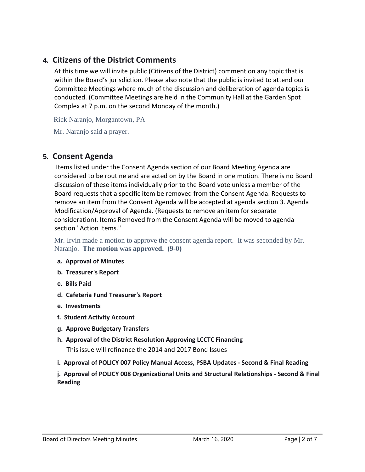# **4. Citizens of the District Comments**

At this time we will invite public (Citizens of the District) comment on any topic that is within the Board's jurisdiction. Please also note that the public is invited to attend our Committee Meetings where much of the discussion and deliberation of agenda topics is conducted. (Committee Meetings are held in the Community Hall at the Garden Spot Complex at 7 p.m. on the second Monday of the month.)

Rick Naranjo, Morgantown, PA

Mr. Naranjo said a prayer.

## **5. Consent Agenda**

Items listed under the Consent Agenda section of our Board Meeting Agenda are considered to be routine and are acted on by the Board in one motion. There is no Board discussion of these items individually prior to the Board vote unless a member of the Board requests that a specific item be removed from the Consent Agenda. Requests to remove an item from the Consent Agenda will be accepted at agenda section 3. Agenda Modification/Approval of Agenda. (Requests to remove an item for separate consideration). Items Removed from the Consent Agenda will be moved to agenda section "Action Items."

Mr. Irvin made a motion to approve the consent agenda report. It was seconded by Mr. Naranjo. **The motion was approved. (9-0)**

- **a. Approval of Minutes**
- **b. Treasurer's Report**
- **c. Bills Paid**
- **d. Cafeteria Fund Treasurer's Report**
- **e. Investments**
- **f. Student Activity Account**
- **g. Approve Budgetary Transfers**
- **h. Approval of the District Resolution Approving LCCTC Financing**

This issue will refinance the 2014 and 2017 Bond Issues

**i. Approval of POLICY 007 Policy Manual Access, PSBA Updates - Second & Final Reading**

**j. Approval of POLICY 008 Organizational Units and Structural Relationships - Second & Final Reading**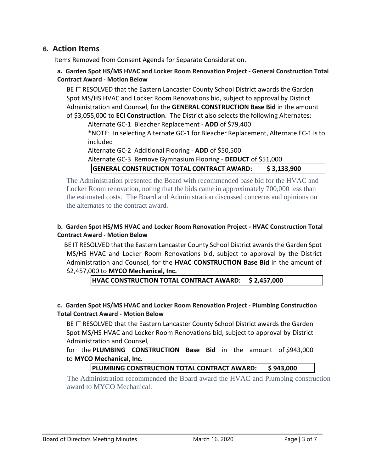## **6. Action Items**

Items Removed from Consent Agenda for Separate Consideration.

#### **a. Garden Spot HS/MS HVAC and Locker Room Renovation Project - General Construction Total Contract Award - Motion Below**

BE IT RESOLVED that the Eastern Lancaster County School District awards the Garden Spot MS/HS HVAC and Locker Room Renovations bid, subject to approval by District Administration and Counsel, for the **GENERAL CONSTRUCTION Base Bid** in the amount of \$3,055,000 to **ECI Construction**. The District also selects the following Alternates:

Alternate GC-1 Bleacher Replacement - **ADD** of \$79,400 \*NOTE: In selecting Alternate GC-1 for Bleacher Replacement, Alternate EC-1 is to included

Alternate GC-2 Additional Flooring - **ADD** of \$50,500

Alternate GC-3 Remove Gymnasium Flooring - **DEDUCT** of \$51,000 **GENERAL CONSTRUCTION TOTAL CONTRACT AWARD: \$ 3,133,900**

The Administration presented the Board with recommended base bid for the HVAC and Locker Room renovation, noting that the bids came in approximately 700,000 less than the estimated costs. The Board and Administration discussed concerns and opinions on the alternates to the contract award.

#### **b. Garden Spot HS/MS HVAC and Locker Room Renovation Project - HVAC Construction Total Contract Award - Motion Below**

BE IT RESOLVED that the Eastern Lancaster County School District awards the Garden Spot MS/HS HVAC and Locker Room Renovations bid, subject to approval by the District Administration and Counsel, for the **HVAC CONSTRUCTION Base Bid** in the amount of \$2,457,000 to **MYCO Mechanical, Inc.**

**HVAC CONSTRUCTION TOTAL CONTRACT AWARD: \$ 2,457,000**

#### **c. Garden Spot HS/MS HVAC and Locker Room Renovation Project - Plumbing Construction Total Contract Award - Motion Below**

BE IT RESOLVED that the Eastern Lancaster County School District awards the Garden Spot MS/HS HVAC and Locker Room Renovations bid, subject to approval by District Administration and Counsel,

#### for the **PLUMBING CONSTRUCTION Base Bid** in the amount of \$943,000 to **MYCO Mechanical, Inc.**

#### **PLUMBING CONSTRUCTION TOTAL CONTRACT AWARD: \$ 943,000**

The Administration recommended the Board award the HVAC and Plumbing construction award to MYCO Mechanical.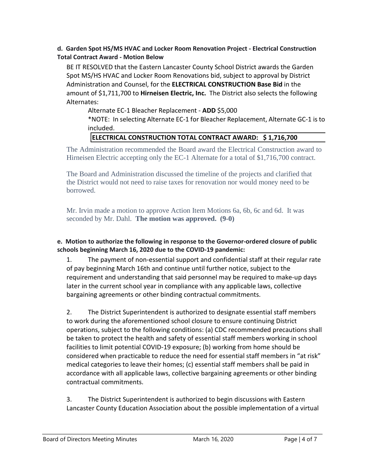#### **d. Garden Spot HS/MS HVAC and Locker Room Renovation Project - Electrical Construction Total Contract Award - Motion Below**

BE IT RESOLVED that the Eastern Lancaster County School District awards the Garden Spot MS/HS HVAC and Locker Room Renovations bid, subject to approval by District Administration and Counsel, for the **ELECTRICAL CONSTRUCTION Base Bid** in the amount of \$1,711,700 to **Hirneisen Electric, Inc.** The District also selects the following Alternates:

Alternate EC-1 Bleacher Replacement - **ADD** \$5,000

\*NOTE: In selecting Alternate EC-1 for Bleacher Replacement, Alternate GC-1 is to included.

#### **ELECTRICAL CONSTRUCTION TOTAL CONTRACT AWARD: \$ 1,716,700**

The Administration recommended the Board award the Electrical Construction award to Hirneisen Electric accepting only the EC-1 Alternate for a total of \$1,716,700 contract.

The Board and Administration discussed the timeline of the projects and clarified that the District would not need to raise taxes for renovation nor would money need to be borrowed.

Mr. Irvin made a motion to approve Action Item Motions 6a, 6b, 6c and 6d. It was seconded by Mr. Dahl. **The motion was approved. (9-0)**

#### **e. Motion to authorize the following in response to the Governor-ordered closure of public schools beginning March 16, 2020 due to the COVID-19 pandemic:**

1. The payment of non-essential support and confidential staff at their regular rate of pay beginning March 16th and continue until further notice, subject to the requirement and understanding that said personnel may be required to make-up days later in the current school year in compliance with any applicable laws, collective bargaining agreements or other binding contractual commitments.

2. The District Superintendent is authorized to designate essential staff members to work during the aforementioned school closure to ensure continuing District operations, subject to the following conditions: (a) CDC recommended precautions shall be taken to protect the health and safety of essential staff members working in school facilities to limit potential COVID-19 exposure; (b) working from home should be considered when practicable to reduce the need for essential staff members in "at risk" medical categories to leave their homes; (c) essential staff members shall be paid in accordance with all applicable laws, collective bargaining agreements or other binding contractual commitments.

3. The District Superintendent is authorized to begin discussions with Eastern Lancaster County Education Association about the possible implementation of a virtual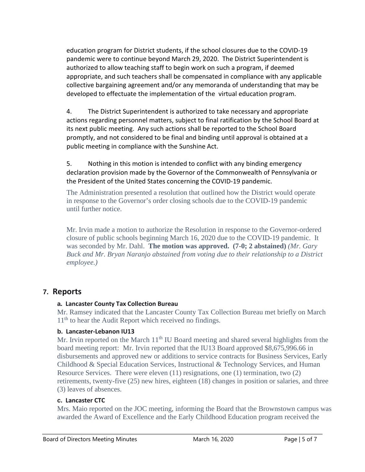education program for District students, if the school closures due to the COVID-19 pandemic were to continue beyond March 29, 2020. The District Superintendent is authorized to allow teaching staff to begin work on such a program, if deemed appropriate, and such teachers shall be compensated in compliance with any applicable collective bargaining agreement and/or any memoranda of understanding that may be developed to effectuate the implementation of the virtual education program.

4. The District Superintendent is authorized to take necessary and appropriate actions regarding personnel matters, subject to final ratification by the School Board at its next public meeting. Any such actions shall be reported to the School Board promptly, and not considered to be final and binding until approval is obtained at a public meeting in compliance with the Sunshine Act.

5. Nothing in this motion is intended to conflict with any binding emergency declaration provision made by the Governor of the Commonwealth of Pennsylvania or the President of the United States concerning the COVID-19 pandemic.

The Administration presented a resolution that outlined how the District would operate in response to the Governor's order closing schools due to the COVID-19 pandemic until further notice.

Mr. Irvin made a motion to authorize the Resolution in response to the Governor-ordered closure of public schools beginning March 16, 2020 due to the COVID-19 pandemic. It was seconded by Mr. Dahl. **The motion was approved. (7-0; 2 abstained)** *(Mr. Gary Buck and Mr. Bryan Naranjo abstained from voting due to their relationship to a District employee.)*

# **7. Reports**

#### **a. Lancaster County Tax Collection Bureau**

Mr. Ramsey indicated that the Lancaster County Tax Collection Bureau met briefly on March 11<sup>th</sup> to hear the Audit Report which received no findings.

#### **b. Lancaster-Lebanon IU13**

Mr. Irvin reported on the March  $11<sup>th</sup>$  IU Board meeting and shared several highlights from the board meeting report: Mr. Irvin reported that the IU13 Board approved \$8,675,996.66 in disbursements and approved new or additions to service contracts for Business Services, Early Childhood & Special Education Services, Instructional & Technology Services, and Human Resource Services. There were eleven (11) resignations, one (1) termination, two (2) retirements, twenty-five (25) new hires, eighteen (18) changes in position or salaries, and three (3) leaves of absences.

## **c. Lancaster CTC**

Mrs. Maio reported on the JOC meeting, informing the Board that the Brownstown campus was awarded the Award of Excellence and the Early Childhood Education program received the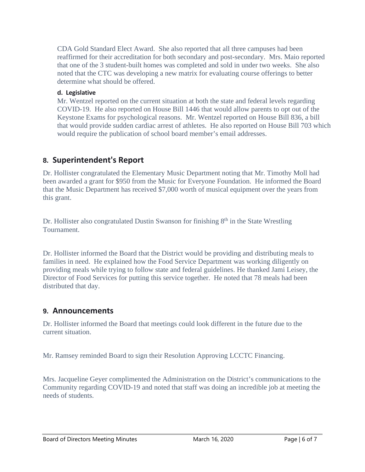CDA Gold Standard Elect Award. She also reported that all three campuses had been reaffirmed for their accreditation for both secondary and post-secondary. Mrs. Maio reported that one of the 3 student-built homes was completed and sold in under two weeks. She also noted that the CTC was developing a new matrix for evaluating course offerings to better determine what should be offered.

#### **d. Legislative**

Mr. Wentzel reported on the current situation at both the state and federal levels regarding COVID-19. He also reported on House Bill 1446 that would allow parents to opt out of the Keystone Exams for psychological reasons. Mr. Wentzel reported on House Bill 836, a bill that would provide sudden cardiac arrest of athletes. He also reported on House Bill 703 which would require the publication of school board member's email addresses.

# **8. Superintendent's Report**

Dr. Hollister congratulated the Elementary Music Department noting that Mr. Timothy Moll had been awarded a grant for \$950 from the Music for Everyone Foundation. He informed the Board that the Music Department has received \$7,000 worth of musical equipment over the years from this grant.

Dr. Hollister also congratulated Dustin Swanson for finishing  $8<sup>th</sup>$  in the State Wrestling Tournament.

Dr. Hollister informed the Board that the District would be providing and distributing meals to families in need. He explained how the Food Service Department was working diligently on providing meals while trying to follow state and federal guidelines. He thanked Jami Leisey, the Director of Food Services for putting this service together. He noted that 78 meals had been distributed that day.

#### **9. Announcements**

Dr. Hollister informed the Board that meetings could look different in the future due to the current situation.

Mr. Ramsey reminded Board to sign their Resolution Approving LCCTC Financing.

Mrs. Jacqueline Geyer complimented the Administration on the District's communications to the Community regarding COVID-19 and noted that staff was doing an incredible job at meeting the needs of students.